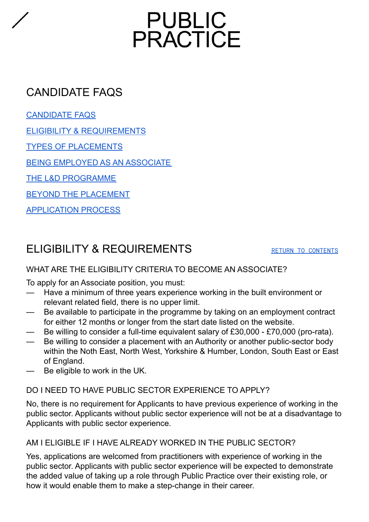# PUBLIC<br>PRACTICE

# <span id="page-0-0"></span>CANDIDATE FAQS

<span id="page-0-2"></span>[CANDIDATE](#page-0-0) FAQS

ELIGIBILITY & [REQUIREMENTS](#page-0-1)

TYPES OF [PLACEMENTS](#page-1-0)

BEING EMPLOYED AS AN [ASSOCIATE](#page-2-0)

THE L&D [PROGRAMME](#page-3-0)

BEYOND THE [PLACEMENT](#page-3-1)

[APPLICATION](#page-4-0) PROCESS

# <span id="page-0-1"></span>ELIGIBILITY & REQUIREMENTS RETURN TO [CONTENTS](#page-0-2)

### WHAT ARE THE ELIGIBILITY CRITERIA TO BECOME AN ASSOCIATE?

To apply for an Associate position, you must:

- Have a minimum of three years experience working in the built environment or relevant related field, there is no upper limit.
- Be available to participate in the programme by taking on an employment contract for either 12 months or longer from the start date listed on the website.
- Be willing to consider a full-time equivalent salary of £30,000 £70,000 (pro-rata).
- Be willing to consider a placement with an Authority or another public-sector body within the Noth East, North West, Yorkshire & Humber, London, South East or East of England.
- Be eligible to work in the UK.

### DO I NEED TO HAVE PUBLIC SECTOR EXPERIENCE TO APPLY?

No, there is no requirement for Applicants to have previous experience of working in the public sector. Applicants without public sector experience will not be at a disadvantage to Applicants with public sector experience.

### AM I ELIGIBLE IF I HAVE ALREADY WORKED IN THE PUBLIC SECTOR?

Yes, applications are welcomed from practitioners with experience of working in the public sector. Applicants with public sector experience will be expected to demonstrate the added value of taking up a role through Public Practice over their existing role, or how it would enable them to make a step-change in their career.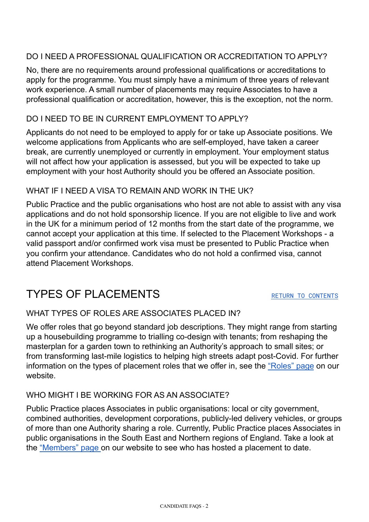### DO I NEED A PROFESSIONAL QUALIFICATION OR ACCREDITATION TO APPLY?

No, there are no requirements around professional qualifications or accreditations to apply for the programme. You must simply have a minimum of three years of relevant work experience. A small number of placements may require Associates to have a professional qualification or accreditation, however, this is the exception, not the norm.

### DO I NEED TO BE IN CURRENT EMPLOYMENT TO APPLY?

Applicants do not need to be employed to apply for or take up Associate positions. We welcome applications from Applicants who are self-employed, have taken a career break, are currently unemployed or currently in employment. Your employment status will not affect how your application is assessed, but you will be expected to take up employment with your host Authority should you be offered an Associate position.

### WHAT IF I NEED A VISA TO REMAIN AND WORK IN THE UK?

Public Practice and the public organisations who host are not able to assist with any visa applications and do not hold sponsorship licence. If you are not eligible to live and work in the UK for a minimum period of 12 months from the start date of the programme, we cannot accept your application at this time. If selected to the Placement Workshops - a valid passport and/or confirmed work visa must be presented to Public Practice when you confirm your attendance. Candidates who do not hold a confirmed visa, cannot attend Placement Workshops.

# <span id="page-1-0"></span>TYPES OF PLACEMENTS THE RETURN TO [CONTENTS](#page-0-2)

### WHAT TYPES OF ROLES ARE ASSOCIATES PLACED IN?

We offer roles that go beyond standard job descriptions. They might range from starting up a housebuilding programme to trialling co-design with tenants; from reshaping the masterplan for a garden town to rethinking an Authority's approach to small sites; or from transforming last-mile logistics to helping high streets adapt post-Covid. For further information on the types of placement roles that we offer in, see the ["Roles"](https://www.publicpractice.org.uk/associates/roles) page on our website.

### WHO MIGHT I BE WORKING FOR AS AN ASSOCIATE?

Public Practice places Associates in public organisations: local or city government, combined authorities, development corporations, publicly-led delivery vehicles, or groups of more than one Authority sharing a role. Currently, Public Practice places Associates in public organisations in the South East and Northern regions of England. Take a look at the ["Members"](https://www.publicpractice.org.uk/authorities/members) page on our website to see who has hosted a placement to date.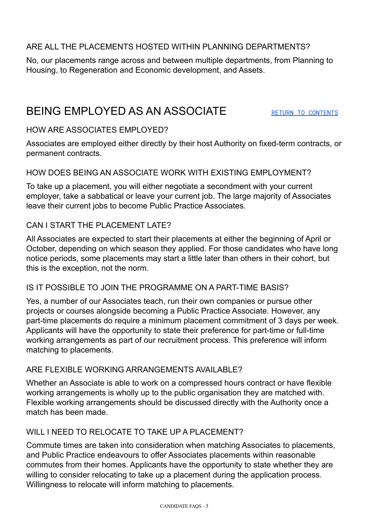### ARE ALL THE PLACEMENTS HOSTED WITHIN PLANNING DEPARTMENTS?

No, our placements range across and between multiple departments, from Planning to Housing, to Regeneration and Economic development, and Assets.

## <span id="page-2-0"></span>BEING EMPLOYED AS AN ASSOCIATE RETURN TO [CONTENTS](#page-0-2)

### HOW ARE ASSOCIATES EMPLOYED?

Associates are employed either directly by their host Authority on fixed-term contracts, or permanent contracts.

### HOW DOES BEING AN ASSOCIATE WORK WITH EXISTING EMPLOYMENT?

To take up a placement, you will either negotiate a secondment with your current employer, take a sabbatical or leave your current job. The large majority of Associates leave their current jobs to become Public Practice Associates.

### CAN I START THE PLACEMENT LATE?

All Associates are expected to start their placements at either the beginning of April or October, depending on which season they applied. For those candidates who have long notice periods, some placements may start a little later than others in their cohort, but this is the exception, not the norm.

### IS IT POSSIBLE TO JOIN THE PROGRAMME ON A PART-TIME BASIS?

Yes, a number of our Associates teach, run their own companies or pursue other projects or courses alongside becoming a Public Practice Associate. However, any part-time placements do require a minimum placement commitment of 3 days per week. Applicants will have the opportunity to state their preference for part-time or full-time working arrangements as part of our recruitment process. This preference will inform matching to placements.

### ARE FLEXIBLE WORKING ARRANGEMENTS AVAILABLE?

Whether an Associate is able to work on a compressed hours contract or have flexible working arrangements is wholly up to the public organisation they are matched with. Flexible working arrangements should be discussed directly with the Authority once a match has been made.

### WILL I NEED TO RELOCATE TO TAKE UP A PLACEMENT?

Commute times are taken into consideration when matching Associates to placements, and Public Practice endeavours to offer Associates placements within reasonable commutes from their homes. Applicants have the opportunity to state whether they are willing to consider relocating to take up a placement during the application process. Willingness to relocate will inform matching to placements.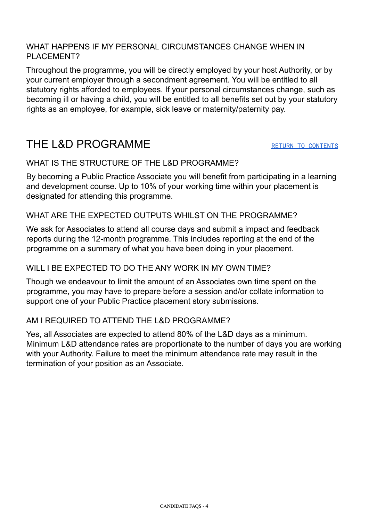### WHAT HAPPENS IF MY PERSONAL CIRCUMSTANCES CHANGE WHEN IN PI ACFMENT?

Throughout the programme, you will be directly employed by your host Authority, or by your current employer through a secondment agreement. You will be entitled to all statutory rights afforded to employees. If your personal circumstances change, such as becoming ill or having a child, you will be entitled to all benefits set out by your statutory rights as an employee, for example, sick leave or maternity/paternity pay.

# <span id="page-3-0"></span>THE L&D PROGRAMME

### WHAT IS THE STRUCTURE OF THE L&D PROGRAMME?

By becoming a Public Practice Associate you will benefit from participating in a learning and development course. Up to 10% of your working time within your placement is designated for attending this programme.

### WHAT ARE THE EXPECTED OUTPUTS WHILST ON THE PROGRAMME?

We ask for Associates to attend all course days and submit a impact and feedback reports during the 12-month programme. This includes reporting at the end of the programme on a summary of what you have been doing in your placement.

### WILL LBE EXPECTED TO DO THE ANY WORK IN MY OWN TIME?

Though we endeavour to limit the amount of an Associates own time spent on the programme, you may have to prepare before a session and/or collate information to support one of your Public Practice placement story submissions.

### AM I REQUIRED TO ATTEND THE L&D PROGRAMME?

<span id="page-3-1"></span>Yes, all Associates are expected to attend 80% of the L&D days as a minimum. Minimum L&D attendance rates are proportionate to the number of days you are working with your Authority. Failure to meet the minimum attendance rate may result in the termination of your position as an Associate.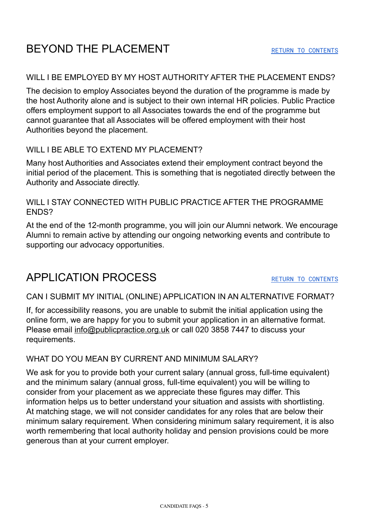# BEYOND THE PLACEMENT **RETURN TO [CONTENTS](#page-0-2)**

### WILL I BE EMPLOYED BY MY HOST AUTHORITY AFTER THE PLACEMENT ENDS?

The decision to employ Associates beyond the duration of the programme is made by the host Authority alone and is subject to their own internal HR policies. Public Practice offers employment support to all Associates towards the end of the programme but cannot guarantee that all Associates will be offered employment with their host Authorities beyond the placement.

### WILL LBE ABLE TO EXTEND MY PLACEMENT?

Many host Authorities and Associates extend their employment contract beyond the initial period of the placement. This is something that is negotiated directly between the Authority and Associate directly.

### WILL I STAY CONNECTED WITH PUBLIC PRACTICE AFTER THE PROGRAMME ENDS?

At the end of the 12-month programme, you will join our Alumni network. We encourage Alumni to remain active by attending our ongoing networking events and contribute to supporting our advocacy opportunities.

# <span id="page-4-0"></span>APPLICATION PROCESS RETURN TO [CONTENTS](#page-0-2)

### CAN I SUBMIT MY INITIAL (ONLINE) APPLICATION IN AN ALTERNATIVE FORMAT?

If, for accessibility reasons, you are unable to submit the initial application using the online form, we are happy for you to submit your application in an alternative format. Please email [info@publicpractice.org.uk](mailto:info@publicpractice.org.uk) or call 020 3858 7447 to discuss your requirements.

### WHAT DO YOU MEAN BY CURRENT AND MINIMUM SALARY?

We ask for you to provide both your current salary (annual gross, full-time equivalent) and the minimum salary (annual gross, full-time equivalent) you will be willing to consider from your placement as we appreciate these figures may differ. This information helps us to better understand your situation and assists with shortlisting. At matching stage, we will not consider candidates for any roles that are below their minimum salary requirement. When considering minimum salary requirement, it is also worth remembering that local authority holiday and pension provisions could be more generous than at your current employer.